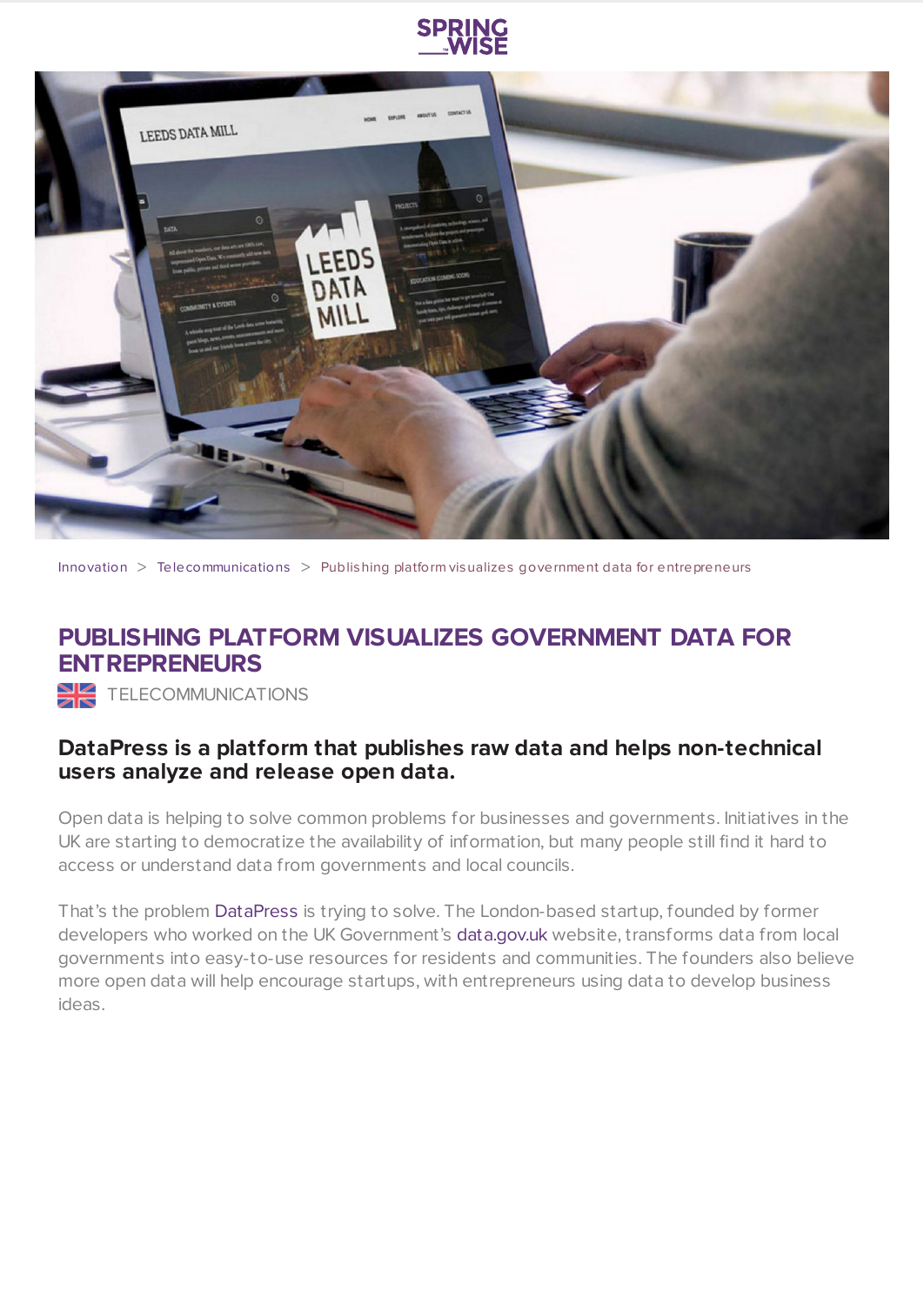



[Innovation](https://www.springwise.com/search?type=innovation) > [Telecommunications](https://www.springwise.com/search?type=innovation§or=telecoms-tech) > Publishing platform visualizes government data for entrepreneurs

## **PUBLISHING PLATFORM VISUALIZES GOVERNMENT DATA FOR ENTREPRENEURS**

TELECOMMUNICATIONS

## **DataPress is a platform that publishes raw data and helps non-technical users analyze and release open data.**

Open data is helping to solve common problems for businesses and governments. Initiatives in the UK are starting to democratize the availability of information, but many people still find it hard to access or understand data from governments and local councils.

That's the problem [DataPress](http://datapress.com/) is trying to solve. The London-based startup, founded by former developers who worked on the UK Government's [data.gov.uk](https://data.gov.uk/) website, transforms data from local governments into easy-to-use resources for residents and communities. The founders also believe more open data will help encourage startups, with entrepreneurs using data to develop business ideas.